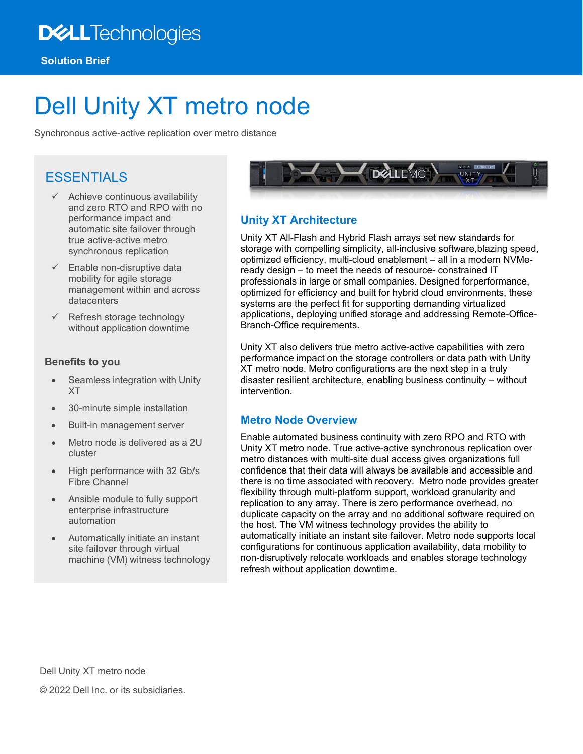## **DELL**Technologies

# Dell Unity XT metro node

Synchronous active-active replication over metro distance

### ESSENTIALS

- $\checkmark$  Achieve continuous availability and zero RTO and RPO with no performance impact and automatic site failover through true active-active metro synchronous replication
- $\checkmark$  Enable non-disruptive data mobility for agile storage management within and across datacenters
- Refresh storage technology without application downtime

#### **Benefits to you**

- Seamless integration with Unity XT
- 30-minute simple installation
- Built-in management server
- Metro node is delivered as a 2U cluster
- High performance with 32 Gb/s Fibre Channel
- Ansible module to fully support enterprise infrastructure automation
- Automatically initiate an instant site failover through virtual machine (VM) witness technology



#### **Unity XT Architecture**

Unity XT All-Flash and Hybrid Flash arrays set new standards for storage with compelling simplicity, all-inclusive software,blazing speed, optimized efficiency, multi-cloud enablement – all in a modern NVMeready design – to meet the needs of resource- constrained IT professionals in large or small companies. Designed forperformance, optimized for efficiency and built for hybrid cloud environments, these systems are the perfect fit for supporting demanding virtualized applications, deploying unified storage and addressing Remote-Office-Branch-Office requirements.

Unity XT also delivers true metro active-active capabilities with zero performance impact on the storage controllers or data path with Unity XT metro node. Metro configurations are the next step in a truly disaster resilient architecture, enabling business continuity – without intervention.

#### **Metro Node Overview**

Enable automated business continuity with zero RPO and RTO with Unity XT metro node. True active-active synchronous replication over metro distances with multi-site dual access gives organizations full confidence that their data will always be available and accessible and there is no time associated with recovery. Metro node provides greater flexibility through multi-platform support, workload granularity and replication to any array. There is zero performance overhead, no duplicate capacity on the array and no additional software required on the host. The VM witness technology provides the ability to automatically initiate an instant site failover. Metro node supports local configurations for continuous application availability, data mobility to non-disruptively relocate workloads and enables storage technology refresh without application downtime.

Dell Unity XT metro node © 2022 Dell Inc. or its subsidiaries.